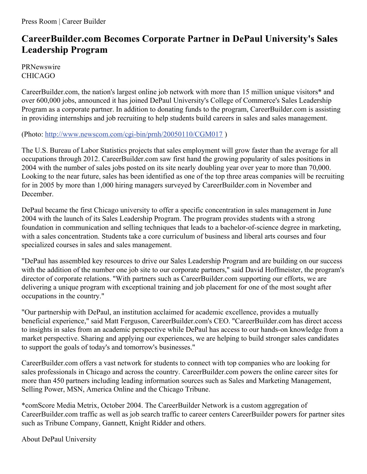## **CareerBuilder.com Becomes Corporate Partner in DePaul University's Sales Leadership Program**

**PRNewswire** CHICAGO

CareerBuilder.com, the nation's largest online job network with more than 15 million unique visitors\* and over 600,000 jobs, announced it has joined DePaul University's College of Commerce's Sales Leadership Program as a corporate partner. In addition to donating funds to the program, CareerBuilder.com is assisting in providing internships and job recruiting to help students build careers in sales and sales management.

(Photo: <http://www.newscom.com/cgi-bin/prnh/20050110/CGM017> )

The U.S. Bureau of Labor Statistics projects that sales employment will grow faster than the average for all occupations through 2012. CareerBuilder.com saw first hand the growing popularity of sales positions in 2004 with the number of sales jobs posted on its site nearly doubling year over year to more than 70,000. Looking to the near future, sales has been identified as one of the top three areas companies will be recruiting for in 2005 by more than 1,000 hiring managers surveyed by CareerBuilder.com in November and December.

DePaul became the first Chicago university to offer a specific concentration in sales management in June 2004 with the launch of its Sales Leadership Program. The program provides students with a strong foundation in communication and selling techniques that leads to a bachelor-of-science degree in marketing, with a sales concentration. Students take a core curriculum of business and liberal arts courses and four specialized courses in sales and sales management.

"DePaul has assembled key resources to drive our Sales Leadership Program and are building on our success with the addition of the number one job site to our corporate partners," said David Hoffmeister, the program's director of corporate relations. "With partners such as CareerBuilder.com supporting our efforts, we are delivering a unique program with exceptional training and job placement for one of the most sought after occupations in the country."

"Our partnership with DePaul, an institution acclaimed for academic excellence, provides a mutually beneficial experience," said Matt Ferguson, CareerBuilder.com's CEO. "CareerBuilder.com has direct access to insights in sales from an academic perspective while DePaul has access to our hands-on knowledge from a market perspective. Sharing and applying our experiences, we are helping to build stronger sales candidates to support the goals of today's and tomorrow's businesses."

CareerBuilder.com offers a vast network for students to connect with top companies who are looking for sales professionals in Chicago and across the country. CareerBuilder.com powers the online career sites for more than 450 partners including leading information sources such as Sales and Marketing Management, Selling Power, MSN, America Online and the Chicago Tribune.

\*comScore Media Metrix, October 2004. The CareerBuilder Network is a custom aggregation of CareerBuilder.com traffic as well as job search traffic to career centers CareerBuilder powers for partner sites such as Tribune Company, Gannett, Knight Ridder and others.

About DePaul University